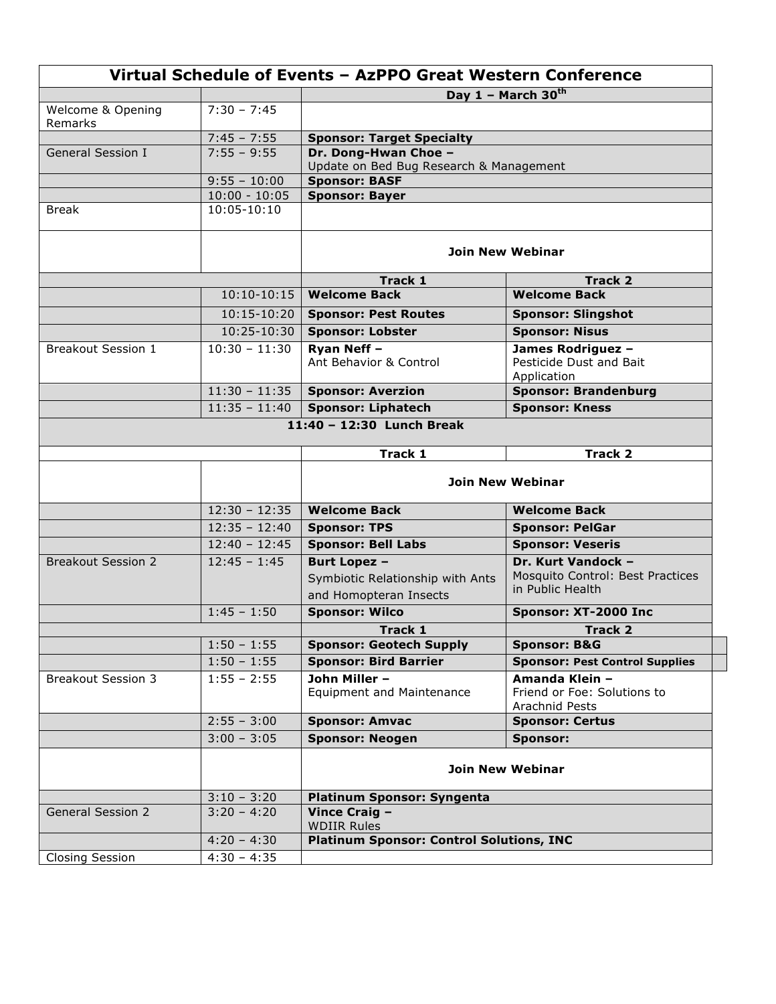|                           |                                | Virtual Schedule of Events - AzPPO Great Western Conference |                                                                 |
|---------------------------|--------------------------------|-------------------------------------------------------------|-----------------------------------------------------------------|
|                           |                                |                                                             | Day 1 - March 30th                                              |
| Welcome & Opening         | $7:30 - 7:45$                  |                                                             |                                                                 |
| Remarks                   | $7:45 - 7:55$                  | <b>Sponsor: Target Specialty</b>                            |                                                                 |
| <b>General Session I</b>  | $7:55 - 9:55$                  | Dr. Dong-Hwan Choe -                                        |                                                                 |
|                           |                                | Update on Bed Bug Research & Management                     |                                                                 |
|                           | $9:55 - 10:00$                 | <b>Sponsor: BASF</b>                                        |                                                                 |
| <b>Break</b>              | $10:00 - 10:05$<br>10:05-10:10 | Sponsor: Bayer                                              |                                                                 |
|                           |                                |                                                             |                                                                 |
|                           |                                | Join New Webinar                                            |                                                                 |
|                           |                                | Track 1                                                     | Track 2                                                         |
|                           | $10:10-10:15$                  | <b>Welcome Back</b>                                         | <b>Welcome Back</b>                                             |
|                           | 10:15-10:20                    | <b>Sponsor: Pest Routes</b>                                 | <b>Sponsor: Slingshot</b>                                       |
|                           | 10:25-10:30                    | <b>Sponsor: Lobster</b>                                     | <b>Sponsor: Nisus</b>                                           |
| Breakout Session 1        | $10:30 - 11:30$                | Ryan Neff -<br>Ant Behavior & Control                       | James Rodriguez -<br>Pesticide Dust and Bait<br>Application     |
|                           | $11:30 - 11:35$                | <b>Sponsor: Averzion</b>                                    | <b>Sponsor: Brandenburg</b>                                     |
|                           | $11:35 - 11:40$                | <b>Sponsor: Liphatech</b>                                   | <b>Sponsor: Kness</b>                                           |
|                           |                                | 11:40 - 12:30 Lunch Break                                   |                                                                 |
|                           |                                | Track 1                                                     | <b>Track 2</b>                                                  |
|                           |                                | <b>Join New Webinar</b>                                     |                                                                 |
|                           | $12:30 - 12:35$                | <b>Welcome Back</b>                                         | <b>Welcome Back</b>                                             |
|                           | $12:35 - 12:40$                | <b>Sponsor: TPS</b>                                         | <b>Sponsor: PelGar</b>                                          |
|                           | $12:40 - 12:45$                | <b>Sponsor: Bell Labs</b>                                   | <b>Sponsor: Veseris</b>                                         |
| <b>Breakout Session 2</b> | $12:45 - 1:45$                 | <b>Burt Lopez -</b>                                         | Dr. Kurt Vandock -                                              |
|                           |                                | Symbiotic Relationship with Ants                            | Mosquito Control: Best Practices                                |
|                           |                                | and Homopteran Insects                                      | in Public Health                                                |
|                           | $1:45 - 1:50$                  | <b>Sponsor: Wilco</b>                                       | Sponsor: XT-2000 Inc                                            |
|                           |                                | Track 1                                                     | <b>Track 2</b>                                                  |
|                           | $1:50 - 1:55$                  | <b>Sponsor: Geotech Supply</b>                              | <b>Sponsor: B&amp;G</b>                                         |
|                           | $1:50 - 1:55$                  | <b>Sponsor: Bird Barrier</b>                                | <b>Sponsor: Pest Control Supplies</b>                           |
| <b>Breakout Session 3</b> | $1:55 - 2:55$                  | John Miller -<br><b>Equipment and Maintenance</b>           | Amanda Klein -<br>Friend or Foe: Solutions to<br>Arachnid Pests |
|                           | $2:55 - 3:00$                  | <b>Sponsor: Amvac</b>                                       | <b>Sponsor: Certus</b>                                          |
|                           | $3:00 - 3:05$                  | <b>Sponsor: Neogen</b>                                      | Sponsor:                                                        |
|                           |                                | <b>Join New Webinar</b>                                     |                                                                 |
|                           | $3:10 - 3:20$                  | <b>Platinum Sponsor: Syngenta</b>                           |                                                                 |
| <b>General Session 2</b>  | $3:20 - 4:20$                  | Vince Craig -<br><b>WDIIR Rules</b>                         |                                                                 |
|                           | $4:20 - 4:30$                  | <b>Platinum Sponsor: Control Solutions, INC</b>             |                                                                 |
| <b>Closing Session</b>    | $4:30 - 4:35$                  |                                                             |                                                                 |